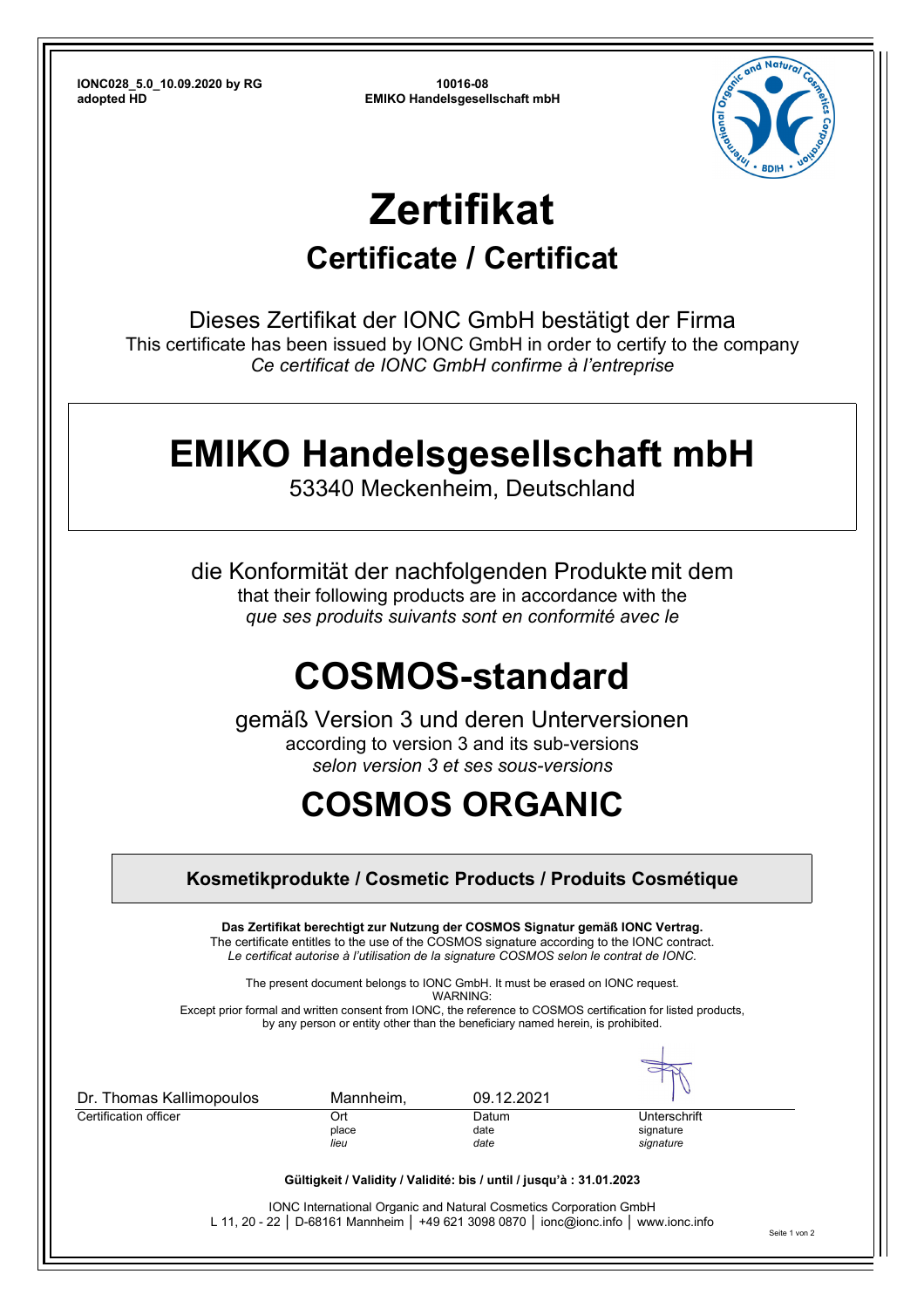**IONC028\_5.0\_10.09.2020 by RG 10016-08** 

**adopted HD EMIKO Handelsgesellschaft mbH**



# **Zertifikat**

#### **Certificate / Certificat**

Dieses Zertifikat der IONC GmbH bestätigt der Firma This certificate has been issued by IONC GmbH in order to certify to the company *Ce certificat de IONC GmbH confirme à l'entreprise*

### **EMIKO Handelsgesellschaft mbH**

53340 Meckenheim, Deutschland

die Konformität der nachfolgenden Produkte mit dem that their following products are in accordance with the *que ses produits suivants sont en conformité avec le*

# **COSMOS-standard**

gemäß Version 3 und deren Unterversionen according to version 3 and its sub-versions *selon version 3 et ses sous-versions* 

## **COSMOS ORGANIC**

| Kosmetikprodukte / Cosmetic Products / Produits Cosmétique                                                                                                                                                               |               |                                                                                                                                                                                                                                                                         |                        |               |  |  |  |
|--------------------------------------------------------------------------------------------------------------------------------------------------------------------------------------------------------------------------|---------------|-------------------------------------------------------------------------------------------------------------------------------------------------------------------------------------------------------------------------------------------------------------------------|------------------------|---------------|--|--|--|
|                                                                                                                                                                                                                          |               | Das Zertifikat berechtigt zur Nutzung der COSMOS Signatur gemäß IONC Vertrag.<br>The certificate entitles to the use of the COSMOS signature according to the IONC contract.<br>Le certificat autorise à l'utilisation de la signature COSMOS selon le contrat de IONC. |                        |               |  |  |  |
|                                                                                                                                                                                                                          |               | The present document belongs to IONC GmbH. It must be erased on IONC request.                                                                                                                                                                                           |                        |               |  |  |  |
| WARNING <sup>.</sup><br>Except prior formal and written consent from IONC, the reference to COSMOS certification for listed products,<br>by any person or entity other than the beneficiary named herein, is prohibited. |               |                                                                                                                                                                                                                                                                         |                        |               |  |  |  |
| Dr. Thomas Kallimopoulos                                                                                                                                                                                                 | Mannheim,     | 09.12.2021                                                                                                                                                                                                                                                              |                        |               |  |  |  |
| Certification officer                                                                                                                                                                                                    | Ort           | Datum                                                                                                                                                                                                                                                                   | Unterschrift           |               |  |  |  |
|                                                                                                                                                                                                                          | place<br>lieu | date<br>date                                                                                                                                                                                                                                                            | signature<br>signature |               |  |  |  |
|                                                                                                                                                                                                                          |               | Gültigkeit / Validity / Validité: bis / until / jusqu'à : 31.01.2023                                                                                                                                                                                                    |                        |               |  |  |  |
|                                                                                                                                                                                                                          |               | <b>IONC International Organic and Natural Cosmetics Corporation GmbH</b><br>L 11, 20 - 22   D-68161 Mannheim   +49 621 3098 0870   ionc@ionc.info   www.ionc.info                                                                                                       |                        | Seite 1 von 2 |  |  |  |